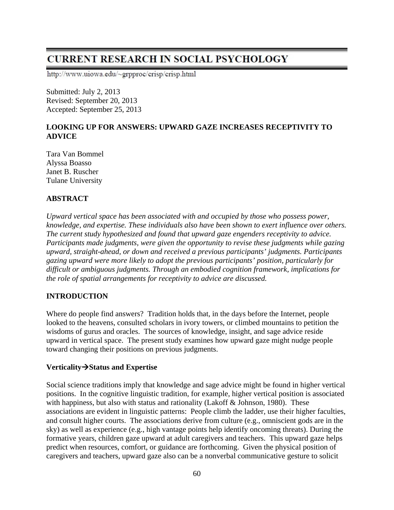# **CURRENT RESEARCH IN SOCIAL PSYCHOLOGY**

http://www.uiowa.edu/~grpproc/crisp/crisp.html

Submitted: July 2, 2013 Revised: September 20, 2013 Accepted: September 25, 2013

# **LOOKING UP FOR ANSWERS: UPWARD GAZE INCREASES RECEPTIVITY TO ADVICE**

Tara Van Bommel Alyssa Boasso Janet B. Ruscher Tulane University

# **ABSTRACT**

*Upward vertical space has been associated with and occupied by those who possess power, knowledge, and expertise. These individuals also have been shown to exert influence over others. The current study hypothesized and found that upward gaze engenders receptivity to advice. Participants made judgments, were given the opportunity to revise these judgments while gazing upward, straight-ahead, or down and received a previous participants' judgments. Participants gazing upward were more likely to adopt the previous participants' position, particularly for difficult or ambiguous judgments. Through an embodied cognition framework, implications for the role of spatial arrangements for receptivity to advice are discussed.* 

## **INTRODUCTION**

Where do people find answers? Tradition holds that, in the days before the Internet, people looked to the heavens, consulted scholars in ivory towers, or climbed mountains to petition the wisdoms of gurus and oracles. The sources of knowledge, insight, and sage advice reside upward in vertical space. The present study examines how upward gaze might nudge people toward changing their positions on previous judgments.

#### **VerticalityStatus and Expertise**

Social science traditions imply that knowledge and sage advice might be found in higher vertical positions. In the cognitive linguistic tradition, for example, higher vertical position is associated with happiness, but also with status and rationality (Lakoff & Johnson, 1980). These associations are evident in linguistic patterns: People climb the ladder, use their higher faculties, and consult higher courts. The associations derive from culture (e.g., omniscient gods are in the sky) as well as experience (e.g., high vantage points help identify oncoming threats). During the formative years, children gaze upward at adult caregivers and teachers. This upward gaze helps predict when resources, comfort, or guidance are forthcoming. Given the physical position of caregivers and teachers, upward gaze also can be a nonverbal communicative gesture to solicit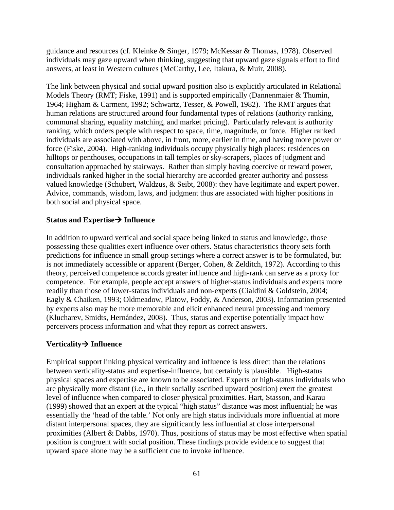guidance and resources (cf. Kleinke & Singer, 1979; McKessar & Thomas, 1978). Observed individuals may gaze upward when thinking, suggesting that upward gaze signals effort to find answers, at least in Western cultures (McCarthy, Lee, Itakura, & Muir, 2008).

The link between physical and social upward position also is explicitly articulated in Relational Models Theory (RMT; Fiske, 1991) and is supported empirically (Dannenmaier & Thumin, 1964; Higham & Carment, 1992; Schwartz, Tesser, & Powell, 1982). The RMT argues that human relations are structured around four fundamental types of relations (authority ranking, communal sharing, equality matching, and market pricing). Particularly relevant is authority ranking, which orders people with respect to space, time, magnitude, or force. Higher ranked individuals are associated with above, in front, more, earlier in time, and having more power or force (Fiske, 2004). High-ranking individuals occupy physically high places: residences on hilltops or penthouses, occupations in tall temples or sky-scrapers, places of judgment and consultation approached by stairways. Rather than simply having coercive or reward power, individuals ranked higher in the social hierarchy are accorded greater authority and possess valued knowledge (Schubert, Waldzus, & Seibt, 2008): they have legitimate and expert power. Advice, commands, wisdom, laws, and judgment thus are associated with higher positions in both social and physical space.

#### **Status and Expertise Influence**

In addition to upward vertical and social space being linked to status and knowledge, those possessing these qualities exert influence over others. Status characteristics theory sets forth predictions for influence in small group settings where a correct answer is to be formulated, but is not immediately accessible or apparent (Berger, Cohen, & Zelditch, 1972). According to this theory, perceived competence accords greater influence and high-rank can serve as a proxy for competence. For example, people accept answers of higher-status individuals and experts more readily than those of lower-status individuals and non-experts (Cialdini & Goldstein, 2004; Eagly & Chaiken, 1993; Oldmeadow, Platow, Foddy, & Anderson, 2003). Information presented by experts also may be more memorable and elicit enhanced neural processing and memory (Klucharev, Smidts, Hernández, 2008). Thus, status and expertise potentially impact how perceivers process information and what they report as correct answers.

## **Verticality Influence**

Empirical support linking physical verticality and influence is less direct than the relations between verticality-status and expertise-influence, but certainly is plausible. High-status physical spaces and expertise are known to be associated. Experts or high-status individuals who are physically more distant (i.e., in their socially ascribed upward position) exert the greatest level of influence when compared to closer physical proximities. Hart, Stasson, and Karau (1999) showed that an expert at the typical "high status" distance was most influential; he was essentially the 'head of the table.' Not only are high status individuals more influential at more distant interpersonal spaces, they are significantly less influential at close interpersonal proximities (Albert & Dabbs, 1970). Thus, positions of status may be most effective when spatial position is congruent with social position. These findings provide evidence to suggest that upward space alone may be a sufficient cue to invoke influence.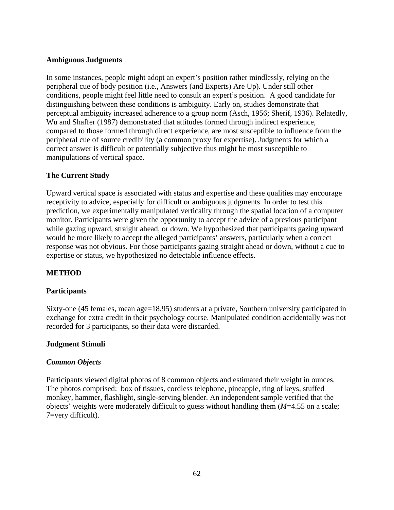#### **Ambiguous Judgments**

In some instances, people might adopt an expert's position rather mindlessly, relying on the peripheral cue of body position (i.e., Answers (and Experts) Are Up). Under still other conditions, people might feel little need to consult an expert's position. A good candidate for distinguishing between these conditions is ambiguity. Early on, studies demonstrate that perceptual ambiguity increased adherence to a group norm (Asch, 1956; Sherif, 1936). Relatedly, Wu and Shaffer (1987) demonstrated that attitudes formed through indirect experience, compared to those formed through direct experience, are most susceptible to influence from the peripheral cue of source credibility (a common proxy for expertise). Judgments for which a correct answer is difficult or potentially subjective thus might be most susceptible to manipulations of vertical space.

## **The Current Study**

Upward vertical space is associated with status and expertise and these qualities may encourage receptivity to advice, especially for difficult or ambiguous judgments. In order to test this prediction, we experimentally manipulated verticality through the spatial location of a computer monitor. Participants were given the opportunity to accept the advice of a previous participant while gazing upward, straight ahead, or down. We hypothesized that participants gazing upward would be more likely to accept the alleged participants' answers, particularly when a correct response was not obvious. For those participants gazing straight ahead or down, without a cue to expertise or status, we hypothesized no detectable influence effects.

# **METHOD**

## **Participants**

Sixty-one (45 females, mean age=18.95) students at a private, Southern university participated in exchange for extra credit in their psychology course. Manipulated condition accidentally was not recorded for 3 participants, so their data were discarded.

## **Judgment Stimuli**

#### *Common Objects*

Participants viewed digital photos of 8 common objects and estimated their weight in ounces. The photos comprised: box of tissues, cordless telephone, pineapple, ring of keys, stuffed monkey, hammer, flashlight, single-serving blender. An independent sample verified that the objects' weights were moderately difficult to guess without handling them (*M*=4.55 on a scale; 7=very difficult).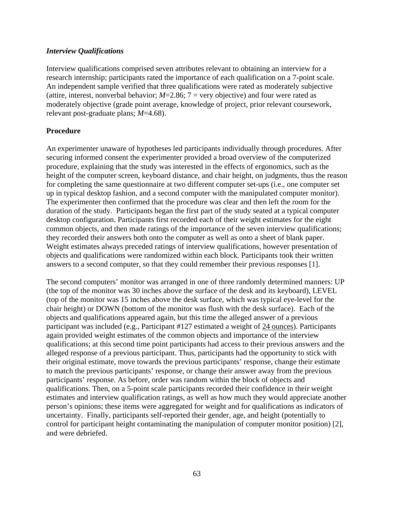#### *Interview Qualifications*

Interview qualifications comprised seven attributes relevant to obtaining an interview for a research internship; participants rated the importance of each qualification on a 7-point scale. An independent sample verified that three qualifications were rated as moderately subjective (attire, interest, nonverbal behavior;  $M=2.86$ ;  $7 =$  very objective) and four were rated as moderately objective (grade point average, knowledge of project, prior relevant coursework, relevant post-graduate plans; *M*=4.68).

## **Procedure**

An experimenter unaware of hypotheses led participants individually through procedures. After securing informed consent the experimenter provided a broad overview of the computerized procedure, explaining that the study was interested in the effects of ergonomics, such as the height of the computer screen, keyboard distance, and chair height, on judgments, thus the reason for completing the same questionnaire at two different computer set-ups (i.e., one computer set up in typical desktop fashion, and a second computer with the manipulated computer monitor). The experimenter then confirmed that the procedure was clear and then left the room for the duration of the study. Participants began the first part of the study seated at a typical computer desktop configuration. Participants first recorded each of their weight estimates for the eight common objects, and then made ratings of the importance of the seven interview qualifications; they recorded their answers both onto the computer as well as onto a sheet of blank paper. Weight estimates always preceded ratings of interview qualifications, however presentation of objects and qualifications were randomized within each block. Participants took their written answers to a second computer, so that they could remember their previous responses [1].

The second computers' monitor was arranged in one of three randomly determined manners: UP (the top of the monitor was 30 inches above the surface of the desk and its keyboard), LEVEL (top of the monitor was 15 inches above the desk surface, which was typical eye-level for the chair height) or DOWN (bottom of the monitor was flush with the desk surface). Each of the objects and qualifications appeared again, but this time the alleged answer of a previous participant was included (e.g., Participant #127 estimated a weight of 24 ounces). Participants again provided weight estimates of the common objects and importance of the interview qualifications; at this second time point participants had access to their previous answers and the alleged response of a previous participant. Thus, participants had the opportunity to stick with their original estimate, move towards the previous participants' response, change their estimate to match the previous participants' response, or change their answer away from the previous participants' response. As before, order was random within the block of objects and qualifications. Then, on a 5-point scale participants recorded their confidence in their weight estimates and interview qualification ratings, as well as how much they would appreciate another person's opinions; these items were aggregated for weight and for qualifications as indicators of uncertainty. Finally, participants self-reported their gender, age, and height (potentially to control for participant height contaminating the manipulation of computer monitor position) [2], and were debriefed.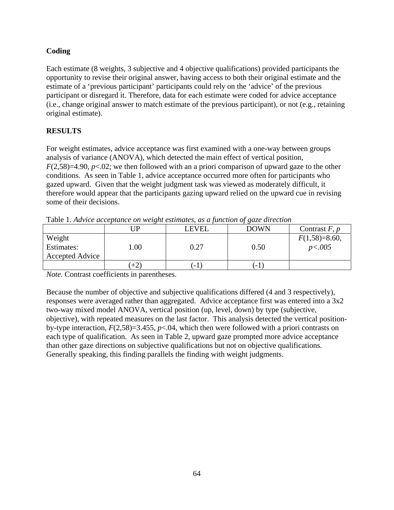# **Coding**

Each estimate (8 weights, 3 subjective and 4 objective qualifications) provided participants the opportunity to revise their original answer, having access to both their original estimate and the estimate of a 'previous participant' participants could rely on the 'advice' of the previous participant or disregard it. Therefore, data for each estimate were coded for advice acceptance (i.e., change original answer to match estimate of the previous participant), or not (e.g., retaining original estimate).

# **RESULTS**

For weight estimates, advice acceptance was first examined with a one-way between groups analysis of variance (ANOVA), which detected the main effect of vertical position, *F*(2,58)=4.90, *p*<.02; we then followed with an a priori comparison of upward gaze to the other conditions. As seen in Table 1, advice acceptance occurred more often for participants who gazed upward. Given that the weight judgment task was viewed as moderately difficult, it therefore would appear that the participants gazing upward relied on the upward cue in revising some of their decisions.

|                 | TP   | LEVEL | <b>DOWN</b> | Contrast $F, p$ |  |  |
|-----------------|------|-------|-------------|-----------------|--|--|
| Weight          |      |       |             | $F(1,58)=8.60,$ |  |  |
| Estimates:      | .00. | 0.27  | 0.50        | p < .005        |  |  |
| Accepted Advice |      |       |             |                 |  |  |
|                 | $+2$ | ' = 1 | ' = 1       |                 |  |  |

Table 1. *Advice acceptance on weight estimates, as a function of gaze direction* 

*Note.* Contrast coefficients in parentheses.

Because the number of objective and subjective qualifications differed (4 and 3 respectively), responses were averaged rather than aggregated. Advice acceptance first was entered into a 3x2 two-way mixed model ANOVA, vertical position (up, level, down) by type (subjective, objective), with repeated measures on the last factor. This analysis detected the vertical positionby-type interaction, *F*(2,58)=3.455, *p*<.04, which then were followed with a priori contrasts on each type of qualification. As seen in Table 2, upward gaze prompted more advice acceptance than other gaze directions on subjective qualifications but not on objective qualifications. Generally speaking, this finding parallels the finding with weight judgments.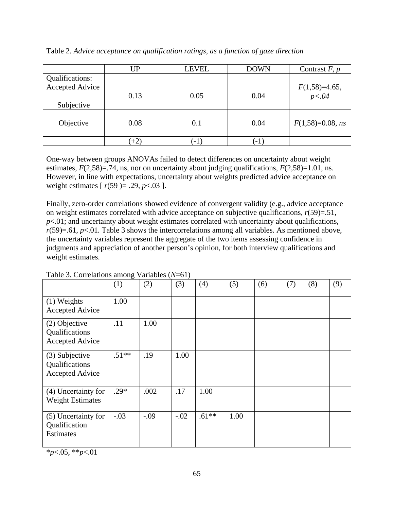|                 | <b>UP</b> | <b>LEVEL</b> | <b>DOWN</b> | Contrast $F, p$            |
|-----------------|-----------|--------------|-------------|----------------------------|
| Qualifications: |           |              |             |                            |
| Accepted Advice |           |              |             | $F(1,58)=4.65,$<br>$p<.04$ |
|                 | 0.13      | 0.05         | 0.04        |                            |
| Subjective      |           |              |             |                            |
|                 |           |              |             |                            |
| Objective       | 0.08      | 0.1          | 0.04        | $F(1,58)=0.08$ , ns        |
|                 |           |              |             |                            |
|                 | $(+2)$    | $-1$         | $(-1)$      |                            |

Table 2. *Advice acceptance on qualification ratings, as a function of gaze direction* 

One-way between groups ANOVAs failed to detect differences on uncertainty about weight estimates,  $F(2,58)=.74$ , ns, nor on uncertainty about judging qualifications,  $F(2,58)=1.01$ , ns. However, in line with expectations, uncertainty about weights predicted advice acceptance on weight estimates [ *r*(59 )= .29, *p*<.03 ].

Finally, zero-order correlations showed evidence of convergent validity (e.g., advice acceptance on weight estimates correlated with advice acceptance on subjective qualifications,  $r(59)=.51$ ,  $p$ <.01; and uncertainty about weight estimates correlated with uncertainty about qualifications,  $r(59)=0.61, p<0.01$ . Table 3 shows the intercorrelations among all variables. As mentioned above, the uncertainty variables represent the aggregate of the two items assessing confidence in judgments and appreciation of another person's opinion, for both interview qualifications and weight estimates.

|                                                            | (1)     | (2)    | (3)    | (4)     | (5)  | (6) | (7) | (8) | (9) |
|------------------------------------------------------------|---------|--------|--------|---------|------|-----|-----|-----|-----|
| $(1)$ Weights<br><b>Accepted Advice</b>                    | 1.00    |        |        |         |      |     |     |     |     |
| (2) Objective<br>Qualifications<br><b>Accepted Advice</b>  | .11     | 1.00   |        |         |      |     |     |     |     |
| (3) Subjective<br>Qualifications<br><b>Accepted Advice</b> | $.51**$ | .19    | 1.00   |         |      |     |     |     |     |
| (4) Uncertainty for<br><b>Weight Estimates</b>             | $.29*$  | .002   | .17    | 1.00    |      |     |     |     |     |
| (5) Uncertainty for<br>Qualification<br><b>Estimates</b>   | $-.03$  | $-.09$ | $-.02$ | $.61**$ | 1.00 |     |     |     |     |

Table 3. Correlations among Variables (*N*=61)

\**p*<.05, \*\**p*<.01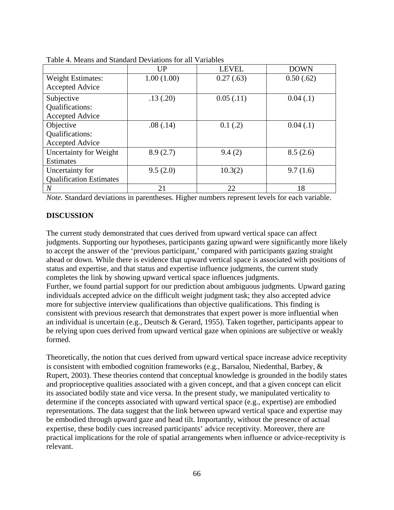|                                | <b>UP</b>  | <b>LEVEL</b> | <b>DOWN</b> |
|--------------------------------|------------|--------------|-------------|
| <b>Weight Estimates:</b>       | 1.00(1.00) | 0.27(0.63)   | 0.50(.62)   |
| <b>Accepted Advice</b>         |            |              |             |
| Subjective                     | .13(.20)   | 0.05(0.11)   | 0.04(0.1)   |
| Qualifications:                |            |              |             |
| <b>Accepted Advice</b>         |            |              |             |
| Objective                      | .08(.14)   | 0.1(0.2)     | 0.04(0.1)   |
| Qualifications:                |            |              |             |
| <b>Accepted Advice</b>         |            |              |             |
| Uncertainty for Weight         | 8.9(2.7)   | 9.4(2)       | 8.5(2.6)    |
| Estimates                      |            |              |             |
| Uncertainty for                | 9.5(2.0)   | 10.3(2)      | 9.7(1.6)    |
| <b>Qualification Estimates</b> |            |              |             |
| $\boldsymbol{N}$               | 21         | 22           | 18          |

Table 4. Means and Standard Deviations for all Variables

*Note.* Standard deviations in parentheses. Higher numbers represent levels for each variable.

#### **DISCUSSION**

The current study demonstrated that cues derived from upward vertical space can affect judgments. Supporting our hypotheses, participants gazing upward were significantly more likely to accept the answer of the 'previous participant,' compared with participants gazing straight ahead or down. While there is evidence that upward vertical space is associated with positions of status and expertise, and that status and expertise influence judgments, the current study completes the link by showing upward vertical space influences judgments. Further, we found partial support for our prediction about ambiguous judgments. Upward gazing individuals accepted advice on the difficult weight judgment task; they also accepted advice more for subjective interview qualifications than objective qualifications. This finding is consistent with previous research that demonstrates that expert power is more influential when an individual is uncertain (e.g., Deutsch & Gerard, 1955). Taken together, participants appear to be relying upon cues derived from upward vertical gaze when opinions are subjective or weakly formed.

Theoretically, the notion that cues derived from upward vertical space increase advice receptivity is consistent with embodied cognition frameworks (e.g., Barsalou, Niedenthal, Barbey, & Rupert, 2003). These theories contend that conceptual knowledge is grounded in the bodily states and proprioceptive qualities associated with a given concept, and that a given concept can elicit its associated bodily state and vice versa. In the present study, we manipulated verticality to determine if the concepts associated with upward vertical space (e.g., expertise) are embodied representations. The data suggest that the link between upward vertical space and expertise may be embodied through upward gaze and head tilt. Importantly, without the presence of actual expertise, these bodily cues increased participants' advice receptivity. Moreover, there are practical implications for the role of spatial arrangements when influence or advice-receptivity is relevant.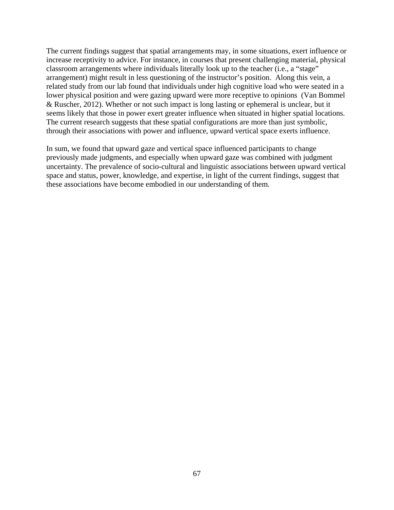The current findings suggest that spatial arrangements may, in some situations, exert influence or increase receptivity to advice. For instance, in courses that present challenging material, physical classroom arrangements where individuals literally look up to the teacher (i.e., a "stage" arrangement) might result in less questioning of the instructor's position. Along this vein, a related study from our lab found that individuals under high cognitive load who were seated in a lower physical position and were gazing upward were more receptive to opinions (Van Bommel & Ruscher, 2012). Whether or not such impact is long lasting or ephemeral is unclear, but it seems likely that those in power exert greater influence when situated in higher spatial locations. The current research suggests that these spatial configurations are more than just symbolic, through their associations with power and influence, upward vertical space exerts influence.

In sum, we found that upward gaze and vertical space influenced participants to change previously made judgments, and especially when upward gaze was combined with judgment uncertainty. The prevalence of socio-cultural and linguistic associations between upward vertical space and status, power, knowledge, and expertise, in light of the current findings, suggest that these associations have become embodied in our understanding of them.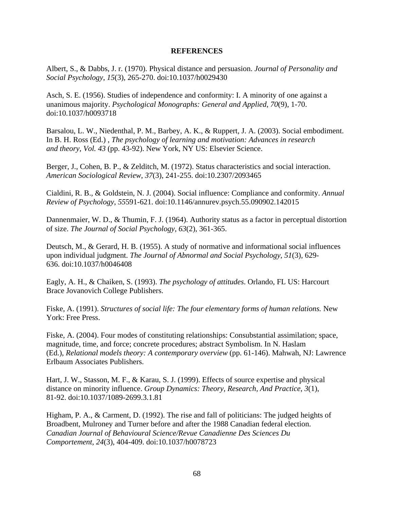#### **REFERENCES**

Albert, S., & Dabbs, J. r. (1970). Physical distance and persuasion. *Journal of Personality and Social Psychology*, *15*(3), 265-270. doi:10.1037/h0029430

Asch, S. E. (1956). Studies of independence and conformity: I. A minority of one against a unanimous majority. *Psychological Monographs: General and Applied*, *70*(9), 1-70. doi:10.1037/h0093718

Barsalou, L. W., Niedenthal, P. M., Barbey, A. K., & Ruppert, J. A. (2003). Social embodiment. In B. H. Ross (Ed.) , *The psychology of learning and motivation: Advances in research and theory, Vol. 43* (pp. 43-92). New York, NY US: Elsevier Science.

Berger, J., Cohen, B. P., & Zelditch, M. (1972). Status characteristics and social interaction. *American Sociological Review*, *37*(3), 241-255. doi:10.2307/2093465

Cialdini, R. B., & Goldstein, N. J. (2004). Social influence: Compliance and conformity. *Annual Review of Psychology*, *55*591-621. doi:10.1146/annurev.psych.55.090902.142015

Dannenmaier, W. D., & Thumin, F. J. (1964). Authority status as a factor in perceptual distortion of size. *The Journal of Social Psychology*, *63*(2), 361-365.

Deutsch, M., & Gerard, H. B. (1955). A study of normative and informational social influences upon individual judgment. *The Journal of Abnormal and Social Psychology*, *51*(3), 629- 636. doi:10.1037/h0046408

Eagly, A. H., & Chaiken, S. (1993). *The psychology of attitudes*. Orlando, FL US: Harcourt Brace Jovanovich College Publishers.

Fiske, A. (1991). *Structures of social life: The four elementary forms of human relations.* New York: Free Press.

Fiske, A. (2004). Four modes of constituting relationships: Consubstantial assimilation; space, magnitude, time, and force; concrete procedures; abstract Symbolism. In N. Haslam (Ed.), *Relational models theory: A contemporary overview* (pp. 61-146). Mahwah, NJ: Lawrence Erlbaum Associates Publishers.

Hart, J. W., Stasson, M. F., & Karau, S. J. (1999). Effects of source expertise and physical distance on minority influence. *Group Dynamics: Theory, Research, And Practice*, *3*(1), 81-92. doi:10.1037/1089-2699.3.1.81

Higham, P. A., & Carment, D. (1992). The rise and fall of politicians: The judged heights of Broadbent, Mulroney and Turner before and after the 1988 Canadian federal election. *Canadian Journal of Behavioural Science/Revue Canadienne Des Sciences Du Comportement*, *24*(3), 404-409. doi:10.1037/h0078723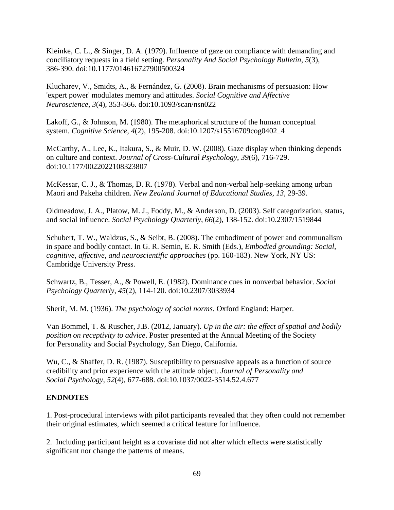Kleinke, C. L., & Singer, D. A. (1979). Influence of gaze on compliance with demanding and conciliatory requests in a field setting. *Personality And Social Psychology Bulletin*, *5*(3), 386-390. doi:10.1177/014616727900500324

Klucharev, V., Smidts, A., & Fernández, G. (2008). Brain mechanisms of persuasion: How 'expert power' modulates memory and attitudes. *Social Cognitive and Affective Neuroscience*, *3*(4), 353-366. doi:10.1093/scan/nsn022

Lakoff, G., & Johnson, M. (1980). The metaphorical structure of the human conceptual system. *Cognitive Science*, *4*(2), 195-208. doi:10.1207/s15516709cog0402\_4

McCarthy, A., Lee, K., Itakura, S., & Muir, D. W. (2008). Gaze display when thinking depends on culture and context. *Journal of Cross-Cultural Psychology*, *39*(6), 716-729. doi:10.1177/0022022108323807

McKessar, C. J., & Thomas, D. R. (1978). Verbal and non-verbal help-seeking among urban Maori and Pakeha children. *New Zealand Journal of Educational Studies, 13,* 29-39.

Oldmeadow, J. A., Platow, M. J., Foddy, M., & Anderson, D. (2003). Self categorization, status, and social influence. *Social Psychology Quarterly*, *66*(2), 138-152. doi:10.2307/1519844

Schubert, T. W., Waldzus, S., & Seibt, B. (2008). The embodiment of power and communalism in space and bodily contact. In G. R. Semin, E. R. Smith (Eds.), *Embodied grounding: Social, cognitive, affective, and neuroscientific approaches* (pp. 160-183). New York, NY US: Cambridge University Press.

Schwartz, B., Tesser, A., & Powell, E. (1982). Dominance cues in nonverbal behavior. *Social Psychology Quarterly*, *45*(2), 114-120. doi:10.2307/3033934

Sherif, M. M. (1936). *The psychology of social norms*. Oxford England: Harper.

Van Bommel, T. & Ruscher, J.B. (2012, January). *Up in the air: the effect of spatial and bodily position on receptivity to advice*. Poster presented at the Annual Meeting of the Society for Personality and Social Psychology, San Diego, California.

Wu, C., & Shaffer, D. R. (1987). Susceptibility to persuasive appeals as a function of source credibility and prior experience with the attitude object. *Journal of Personality and Social Psychology*, *52*(4), 677-688. doi:10.1037/0022-3514.52.4.677

## **ENDNOTES**

1. Post-procedural interviews with pilot participants revealed that they often could not remember their original estimates, which seemed a critical feature for influence.

2. Including participant height as a covariate did not alter which effects were statistically significant nor change the patterns of means.